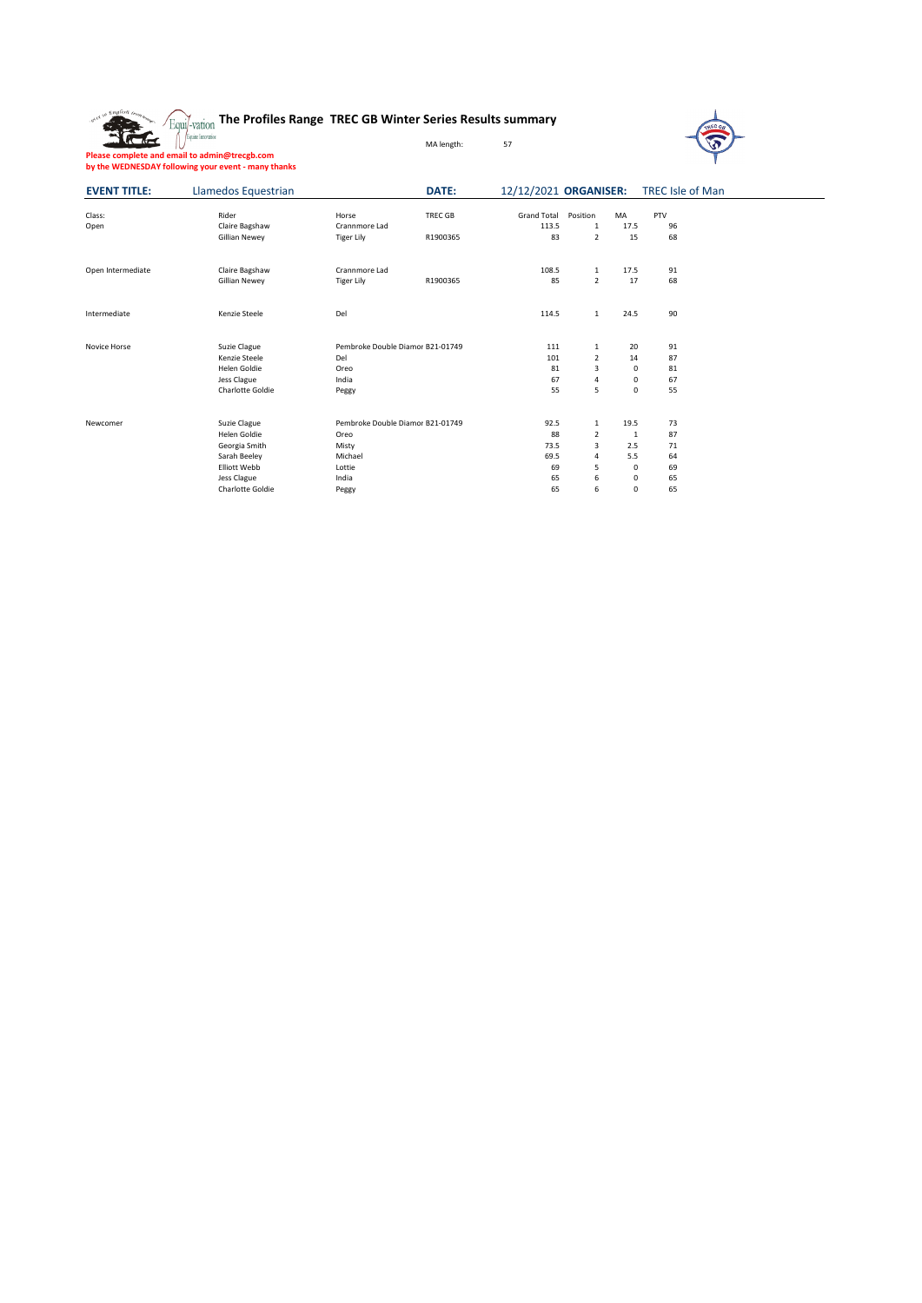|  | Equil-vation The Profiles Range TREC GB Winter Series Results summary |  |  |
|--|-----------------------------------------------------------------------|--|--|
|  |                                                                       |  |  |



| Please complete and email to admin@trecgb.com       |  |
|-----------------------------------------------------|--|
| by the WEDNESDAY following your event - many thanks |  |

| <b>EVENT TITLE:</b> | Llamedos Equestrian |                                  | DATE:    |                    |                |             | 12/12/2021 ORGANISER: TREC Isle of Man |
|---------------------|---------------------|----------------------------------|----------|--------------------|----------------|-------------|----------------------------------------|
| Class:              | Rider               | Horse                            | TREC GB  | <b>Grand Total</b> | Position       | MA          | PTV                                    |
| Open                | Claire Bagshaw      | Crannmore Lad                    |          | 113.5              | 1              | 17.5        | 96                                     |
|                     | Gillian Newey       | <b>Tiger Lily</b>                | R1900365 | 83                 | $\overline{2}$ | 15          | 68                                     |
| Open Intermediate   | Claire Bagshaw      | Crannmore Lad                    |          | 108.5              | $\mathbf{1}$   | 17.5        | 91                                     |
|                     | Gillian Newey       | <b>Tiger Lily</b>                | R1900365 | 85                 | $\overline{2}$ | 17          | 68                                     |
| Intermediate        | Kenzie Steele       | Del                              |          | 114.5              | $\mathbf{1}$   | 24.5        | 90                                     |
| Novice Horse        | Suzie Clague        | Pembroke Double Diamor B21-01749 |          | 111                | $\mathbf{1}$   | 20          | 91                                     |
|                     | Kenzie Steele       | Del                              |          | 101                | $\overline{2}$ | 14          | 87                                     |
|                     | Helen Goldie        | Oreo                             |          | 81                 | 3              | 0           | 81                                     |
|                     | Jess Clague         | India                            |          | 67                 | 4              | 0           | 67                                     |
|                     | Charlotte Goldie    | Peggy                            |          | 55                 | 5              | $\Omega$    | 55                                     |
| Newcomer            | Suzie Clague        | Pembroke Double Diamor B21-01749 |          | 92.5               | $\mathbf{1}$   | 19.5        | 73                                     |
|                     | Helen Goldie        | Oreo                             |          | 88                 | 2              | 1           | 87                                     |
|                     | Georgia Smith       | Misty                            |          | 73.5               | 3              | 2.5         | 71                                     |
|                     | Sarah Beeley        | Michael                          |          | 69.5               | 4              | 5.5         | 64                                     |
|                     | <b>Elliott Webb</b> | Lottie                           |          | 69                 | 5              | $\mathbf 0$ | 69                                     |
|                     | Jess Clague         | India                            |          | 65                 | 6              | $\Omega$    | 65                                     |
|                     | Charlotte Goldie    | Peggy                            |          | 65                 | 6              | 0           | 65                                     |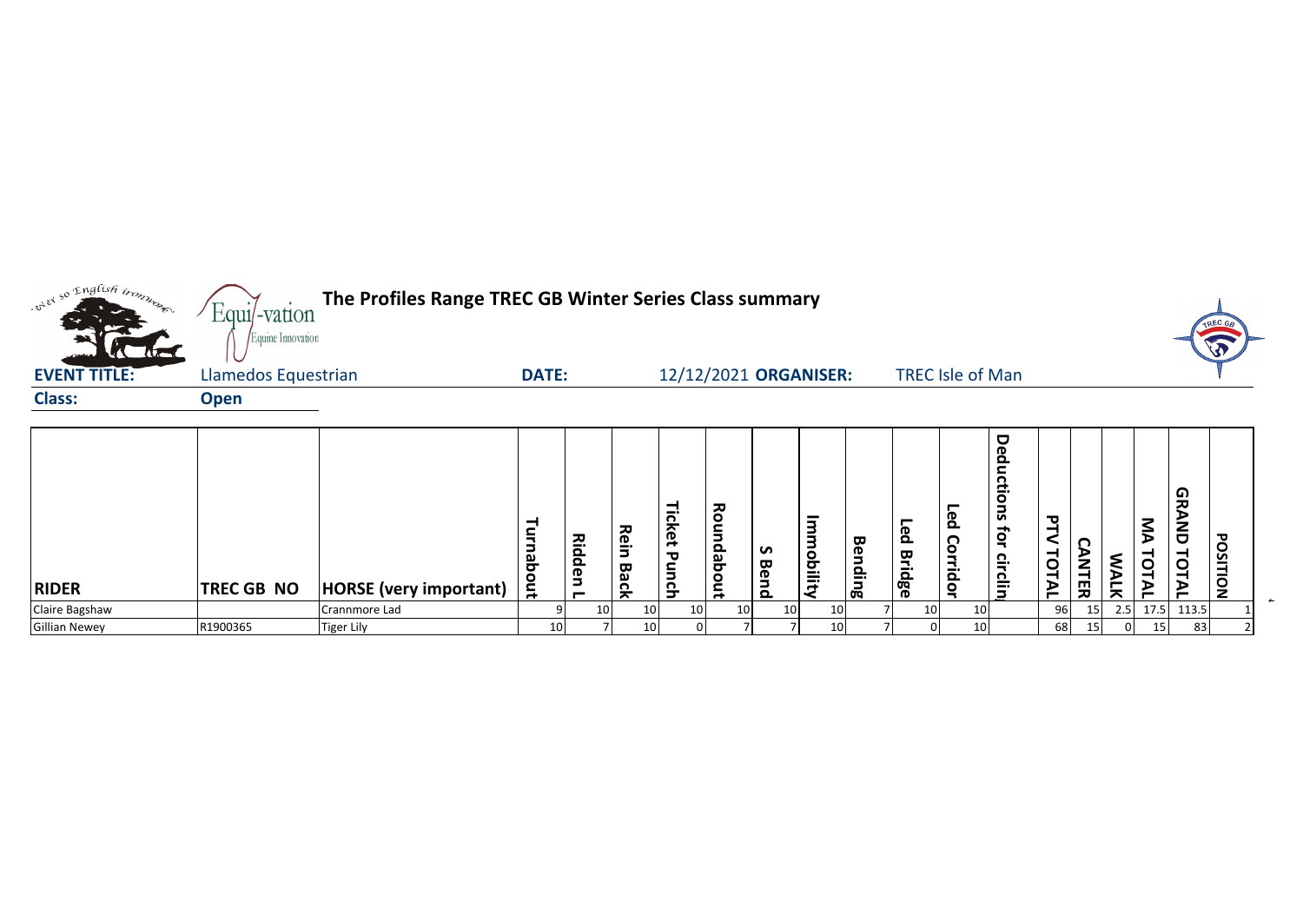

| <b>RIDER</b>         | <b>TREC GB NO</b> | <b>HORSE</b> (very important) | -<br>ച<br>Ĕ     | ᅎ<br>$\equiv$<br>௨<br>௨<br>eu<br>┍ | <b>R</b><br>$\qquad \qquad \cdots$<br>$\Rightarrow$<br>Back | -<br>-<br>⌒<br>ന<br>$\overline{\phantom{a}}$<br>᠊ᢦ<br>∼<br>요 | ᅎ<br>$\circ$<br>௨<br>ച<br>ਰ<br>$\circ$<br>$\bar{a}$ | S<br>$\mathbf{\overline{u}}$<br>ğ<br>௨ | -<br>٥<br>0<br>$- \cdot$<br>-<br>-<br>←<br>✔ | ᡂ<br>ര<br>$\Box$<br>으.<br>$\overline{\mathbf{g}}$ | ௨<br>ᡂ<br>$\overline{\phantom{a}}$<br>௨<br>œ<br>$\sigma$ | ௨<br>റ<br>Ξ.<br>$\Omega$<br>O<br>- | O<br>ወ<br>൦<br>ຼີຊ<br>٠<br>ូ<br>៲ឨ៓<br>읔.<br>$\vec{v}$<br>Б | ᄁ<br>$\sim$<br>ັ<br>ᅴ<br>⋗<br>− | C<br>m<br>ᅎ | ⋗<br>듯 | っ<br>⋍<br>D<br>–<br>O<br>╺<br>ъ<br>— | െ<br>پ<br>∼<br>O<br>O<br>− | ᇃ<br><b>UQLISO</b> |  |
|----------------------|-------------------|-------------------------------|-----------------|------------------------------------|-------------------------------------------------------------|--------------------------------------------------------------|-----------------------------------------------------|----------------------------------------|----------------------------------------------|---------------------------------------------------|----------------------------------------------------------|------------------------------------|-------------------------------------------------------------|---------------------------------|-------------|--------|--------------------------------------|----------------------------|--------------------|--|
| Claire Bagshaw       |                   | Crannmore Lad                 |                 | 10 <sub>1</sub>                    | 10                                                          | 10                                                           | 10 <sup>1</sup>                                     | 10 <sup>1</sup>                        | 10                                           |                                                   | 10                                                       | 10                                 |                                                             | 96                              |             | 2.5    | 17.5                                 | 113.5                      |                    |  |
| <b>Gillian Newey</b> | R1900365          | <b>Tiger Lily</b>             | 10 <sup>1</sup> |                                    | 10                                                          |                                                              |                                                     |                                        | 10                                           |                                                   |                                                          | 10                                 |                                                             | 68                              |             |        |                                      | 83                         |                    |  |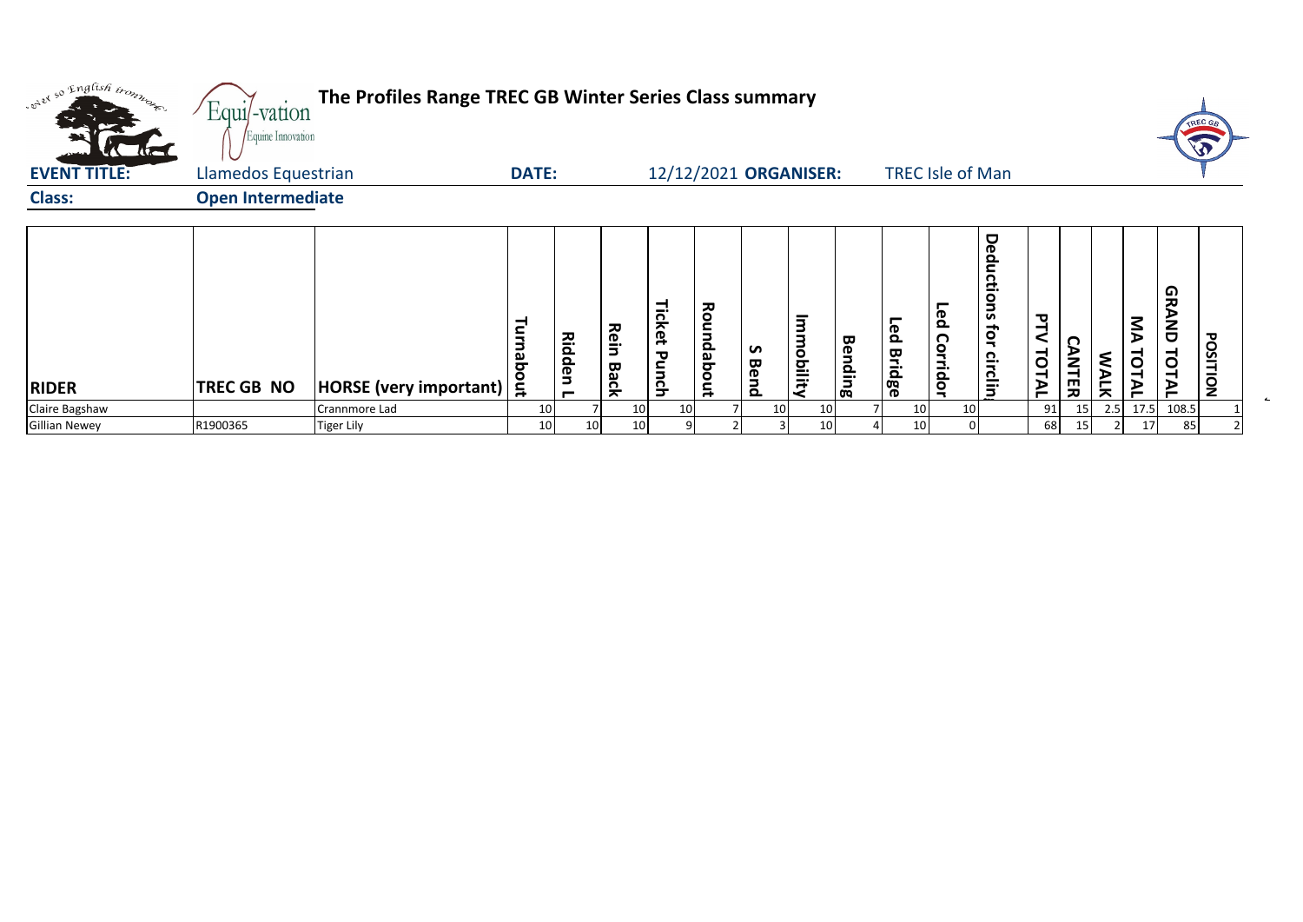| ord so English tromposed | Equi/-vation<br>Equine Innovation | The Profiles Range TREC GB Winter Series Class summary |              |                 |              |                      |            |           |                       |             |                           |                         |                                                            |               |                   |             |                    |                            | TREC GB  |
|--------------------------|-----------------------------------|--------------------------------------------------------|--------------|-----------------|--------------|----------------------|------------|-----------|-----------------------|-------------|---------------------------|-------------------------|------------------------------------------------------------|---------------|-------------------|-------------|--------------------|----------------------------|----------|
| <b>EVENT TITLE:</b>      | Llamedos Equestrian               |                                                        | <b>DATE:</b> |                 |              |                      |            |           | 12/12/2021 ORGANISER: |             |                           | <b>TREC Isle of Man</b> |                                                            |               |                   |             |                    |                            |          |
| <b>Class:</b>            | <b>Open Intermediate</b>          |                                                        |              |                 |              |                      |            |           |                       |             |                           |                         |                                                            |               |                   |             |                    |                            |          |
| <b>RIDER</b>             | TREC GB NO                        | HORSE (very important)   트                             | ₹<br>ਠ       | <b>Ridden L</b> | Rein<br>Back | Ticket<br>᠊ᢦ<br>unch | Roundabout | S<br>Bend | Immobility            | Ben<br>ding | <u>e</u><br><b>Bridge</b> | Led<br>Corridor         | <b>Deduct</b><br>Ξ.<br>$\mathbf{S}$<br>S<br>ţor<br>circlin | ᢦ<br>TOT<br>≥ | n<br><b>ANTER</b> | <b>WALK</b> | $\sum$<br>ō<br>TАL | မ္ဘ<br><b>AND</b><br>TOTAL | POSITION |
| Claire Bagshaw           |                                   | Crannmore Lad                                          | 10           |                 | 10           | 10                   |            |           | 10                    | 10          | 10                        |                         | 10 <sub>1</sub>                                            | 91            |                   | 2.5         | 17.5               | 108.5                      |          |
| <b>Gillian Newey</b>     | R1900365                          | <b>Tiger Lily</b>                                      | 10           | 10              | 10           |                      |            |           |                       | 10          | 10                        |                         |                                                            | 68            |                   |             | 17                 | 85                         |          |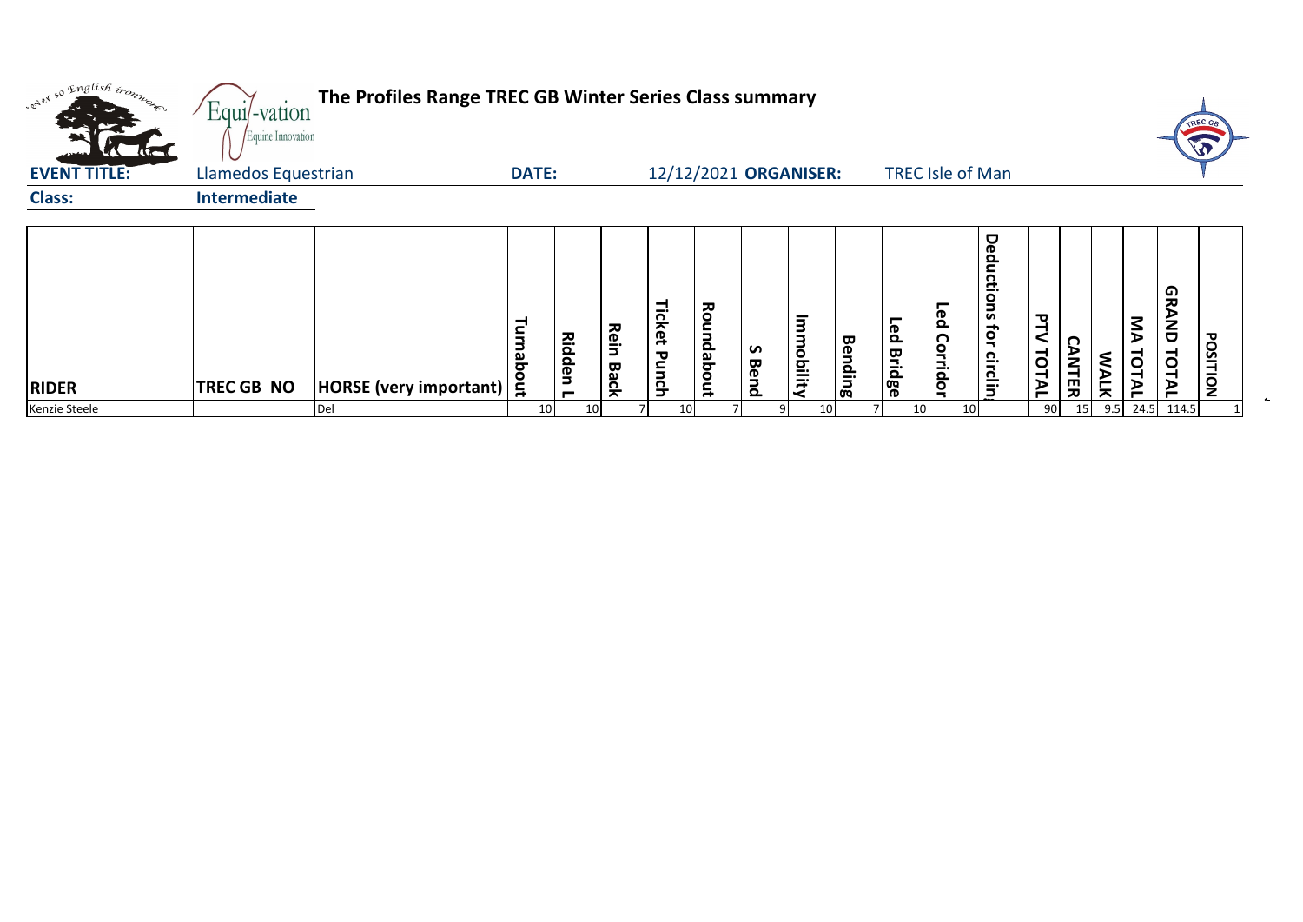|                     |                                                                 |                        |                    |                     |           |                  |                           |                                                        |                             |                          |                                                                     |                         |                        |             |             |                            | <b>REC G</b>        |
|---------------------|-----------------------------------------------------------------|------------------------|--------------------|---------------------|-----------|------------------|---------------------------|--------------------------------------------------------|-----------------------------|--------------------------|---------------------------------------------------------------------|-------------------------|------------------------|-------------|-------------|----------------------------|---------------------|
|                     |                                                                 |                        |                    |                     |           |                  |                           |                                                        |                             |                          |                                                                     |                         |                        |             |             |                            |                     |
| <b>Intermediate</b> |                                                                 |                        |                    |                     |           |                  |                           |                                                        |                             |                          |                                                                     |                         |                        |             |             |                            |                     |
| <b>TREC GB NO</b>   | Turnab<br>Ĕ,                                                    | Ridden<br>−            | Rein<br>Back       | Ticket<br>ᢦ<br>unch | Roundabou | S<br><b>Bend</b> | $\overline{3}$<br>mobilit | <b>Bending</b>                                         | Led<br><b>Bridge</b>        | ဥ<br>ငွ<br><b>rridor</b> | O<br>Ω<br>-<br>- 1<br>۰<br>Б<br>S<br>ţor<br>റ<br>-<br>$\frac{5}{5}$ | ᇃ<br>TOTAL              | n.<br><b>ANTE</b><br>ᅎ | <b>MALK</b> | ŠД<br>TOTAL | မ္ဘ<br><b>AND</b><br>TOTAI | POSITION            |
|                     |                                                                 |                        |                    |                     |           |                  |                           |                                                        |                             |                          |                                                                     |                         |                        |             |             |                            |                     |
|                     | Equi/-vation<br>Equine Innovation<br>Llamedos Equestrian<br>Del | HORSE (very important) | <b>DATE:</b><br>10 | 10                  |           | 10               |                           | The Profiles Range TREC GB Winter Series Class summary | 12/12/2021 ORGANISER:<br>10 |                          | 10 <sup>1</sup>                                                     | <b>TREC Isle of Man</b> |                        | 90          | 15          |                            | $9.5$ 24.5<br>114.5 |

 $\blacksquare$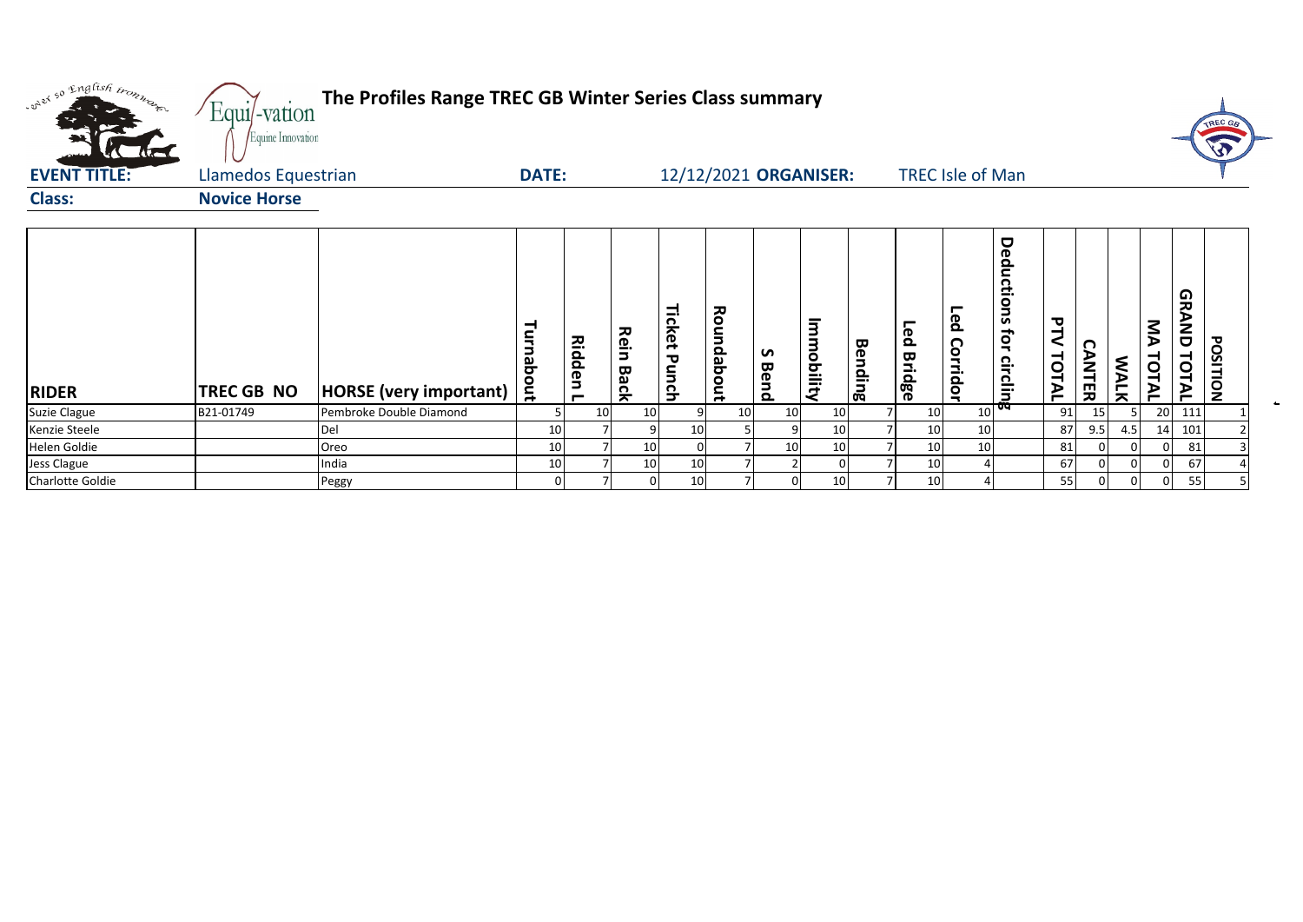| only so English trong         | Equi/-vation<br>Equine Innovation | The Profiles Range TREC GB Winter Series Class summary |              |                               |              |                 |                    |           |                                       |                |            |                         |                                          |                     |                   |        |                           | <b>TREC 6</b>                          |  |
|-------------------------------|-----------------------------------|--------------------------------------------------------|--------------|-------------------------------|--------------|-----------------|--------------------|-----------|---------------------------------------|----------------|------------|-------------------------|------------------------------------------|---------------------|-------------------|--------|---------------------------|----------------------------------------|--|
| <b>EVENT TITLE:</b>           | Llamedos Equestrian               |                                                        | <b>DATE:</b> |                               |              |                 |                    |           | 12/12/2021 ORGANISER:                 |                |            | <b>TREC Isle of Man</b> |                                          |                     |                   |        |                           |                                        |  |
| <b>Class:</b>                 | <b>Novice Horse</b>               |                                                        |              |                               |              |                 |                    |           |                                       |                |            |                         |                                          |                     |                   |        |                           |                                        |  |
| <b>RIDER</b>                  | TREC GB NO                        | <b>HORSE</b> (very important)                          | Turnabout    | 즈.<br>idden<br>$\blacksquare$ | Rein<br>Back | Ticket<br>Punch | ᅎ<br>gun<br>dabout | S<br>Bend | $\overline{3}$<br>mo<br><b>Dility</b> | <b>Bending</b> | Led Bridge | Feq<br>Corridor         | Deductions<br><b>ior</b><br>circlin<br>œ | <b>PTV</b><br>TOTAL | Ω<br><b>ANTER</b> | ξ<br>듯 | $\sum_{i=1}^{n}$<br>TOTAL | 0<br><b>IRAND</b><br>POSITION<br>TOTAL |  |
| Suzie Clague                  | B21-01749                         | Pembroke Double Diamond                                |              | 10                            | 10           |                 | 10                 | 10        | 10                                    |                | 10         |                         | 10                                       | 91                  | 15                |        | 20                        | 111                                    |  |
| Kenzie Steele<br>Helen Goldie |                                   | Del<br>Oreo                                            | 10<br>10     |                               | 10           | 10              |                    | 10        | 10<br>10                              |                | 10<br>10   |                         | 10 <sup>1</sup><br>10 <sup>1</sup>       | 87<br>81            | 9.5               | 4.5    | 14                        | 101<br>81                              |  |
| Jess Clague                   |                                   | India                                                  | 10           |                               | 10           | 10              |                    |           | $\Omega$                              |                | 10         |                         |                                          | 67                  |                   |        |                           | 67                                     |  |
| Charlotte Goldie              |                                   | Peggy                                                  | 0            |                               | 0            | 10              |                    |           | 10                                    |                | 10         |                         |                                          | 55                  |                   |        |                           | 55                                     |  |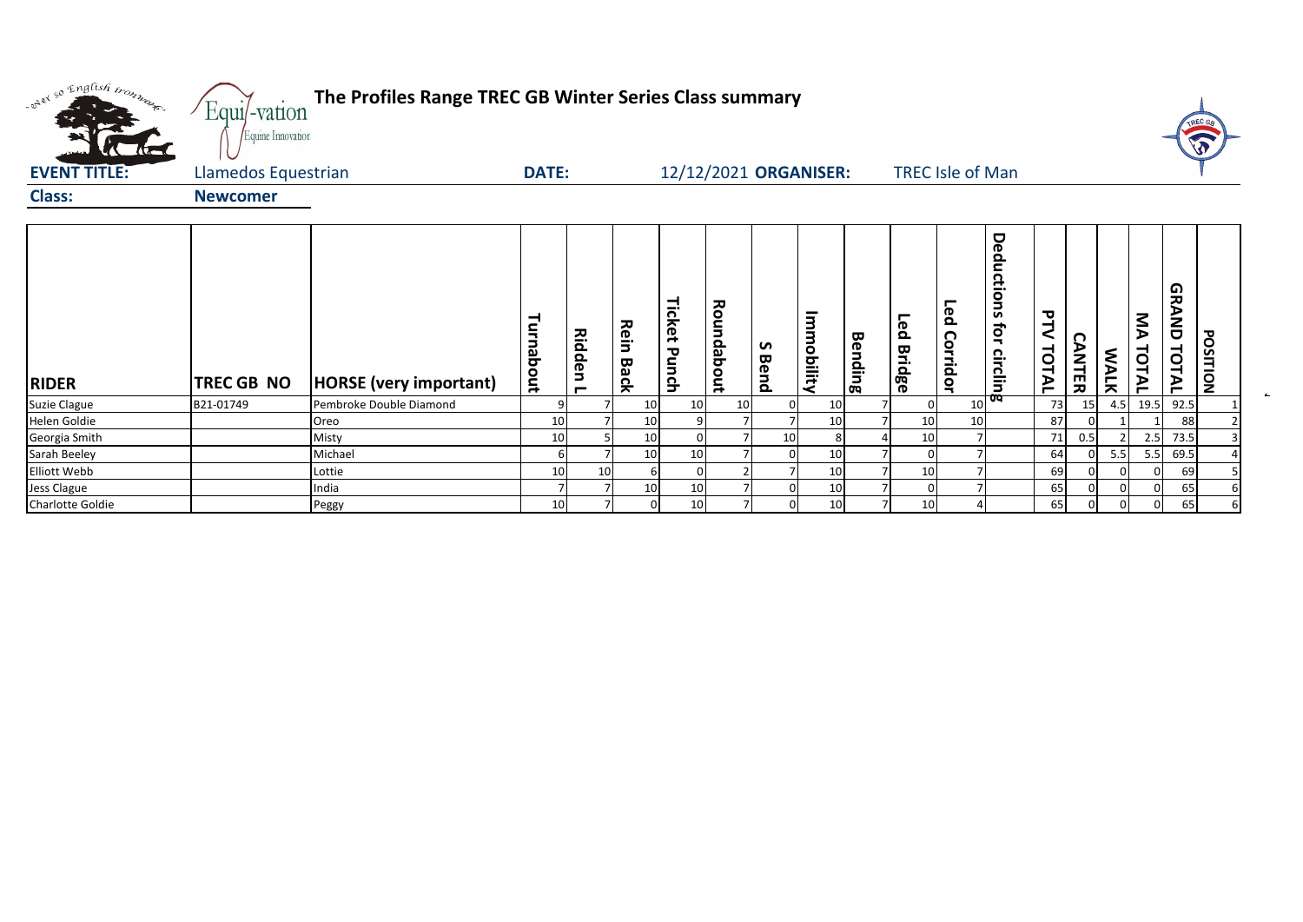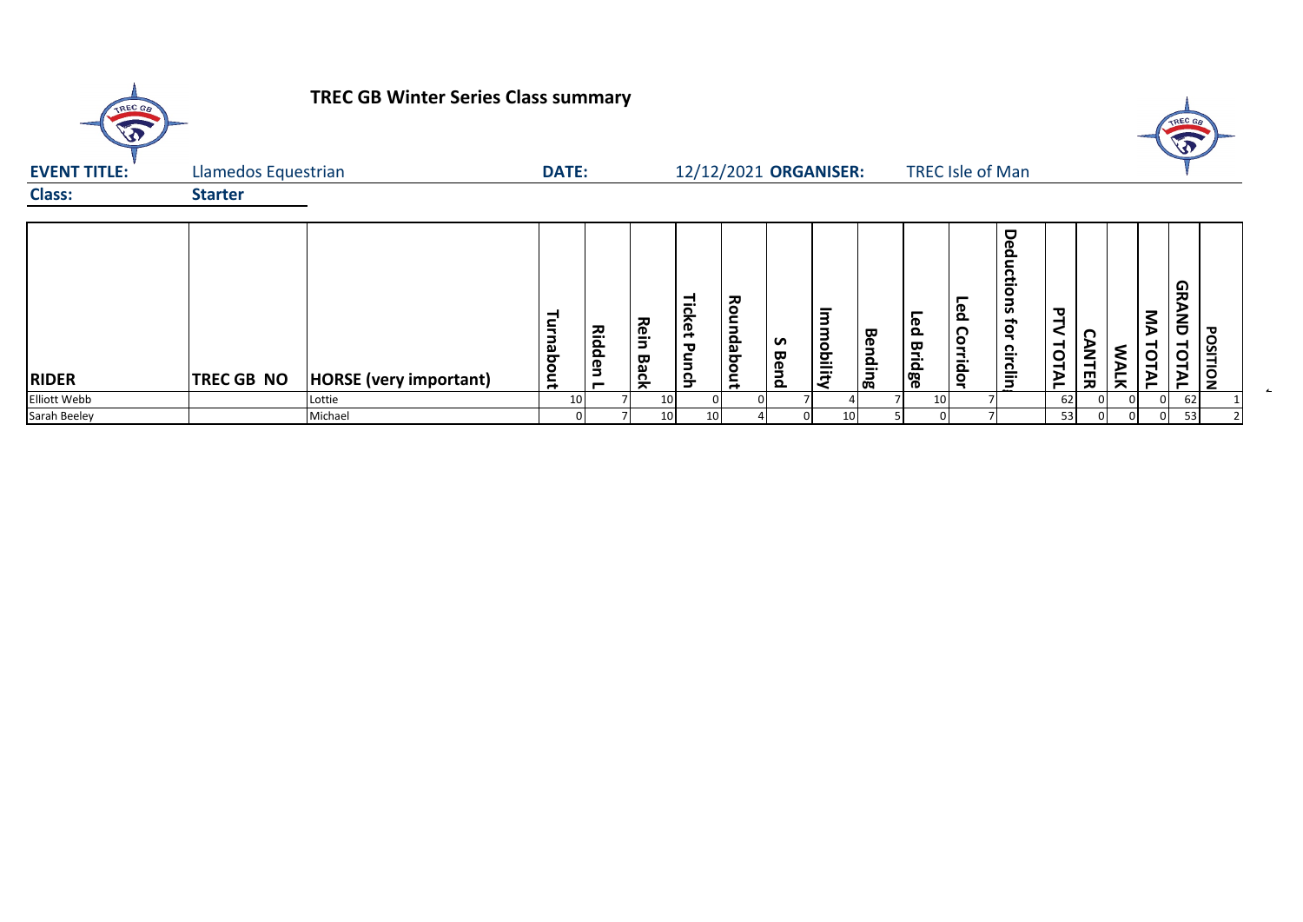| TREC GB                      |                     | <b>TREC GB Winter Series Class summary</b> |                 |                 |                                        |              |            |           |                                        |         |                            |                 |                                    |                           |                   |             |             | TREC G               |                 |
|------------------------------|---------------------|--------------------------------------------|-----------------|-----------------|----------------------------------------|--------------|------------|-----------|----------------------------------------|---------|----------------------------|-----------------|------------------------------------|---------------------------|-------------------|-------------|-------------|----------------------|-----------------|
| <b>EVENT TITLE:</b>          | Llamedos Equestrian |                                            | <b>DATE:</b>    |                 |                                        |              |            |           | 12/12/2021 ORGANISER:                  |         |                            |                 | <b>TREC Isle of Man</b>            |                           |                   |             |             |                      |                 |
| <b>Class:</b>                | <b>Starter</b>      |                                            |                 |                 |                                        |              |            |           |                                        |         |                            |                 |                                    |                           |                   |             |             |                      |                 |
| <b>RIDER</b><br>Elliott Webb | <b>TREC GB NO</b>   | <b>HORSE</b> (very important)<br>Lottie    | Turnabout<br>10 | Ridd<br>en<br>┍ | <b>Rein</b><br>Back<br>10 <sup>1</sup> | Ticket Punch | Roundabout | ှ<br>Bend | $\overline{3}$<br>З<br><b>udbility</b> | Bending | Led<br><b>Bridge</b><br>10 | Led<br>Corridor | Deductions<br>ţā<br><b>circlin</b> | <b>PTV</b><br>TOTAL<br>62 | n<br><b>ANTER</b> | <b>WALK</b> | ŠЯ<br>TOTAL | GRAND<br>TOTAL<br>62 | <b>POSITION</b> |
| Sarah Beeley                 |                     | Michael                                    | 0               |                 | 10 <sup>1</sup>                        | 10           |            | 0         | 10                                     |         | 5                          |                 |                                    | 53                        | 0                 |             | 01          | 53                   |                 |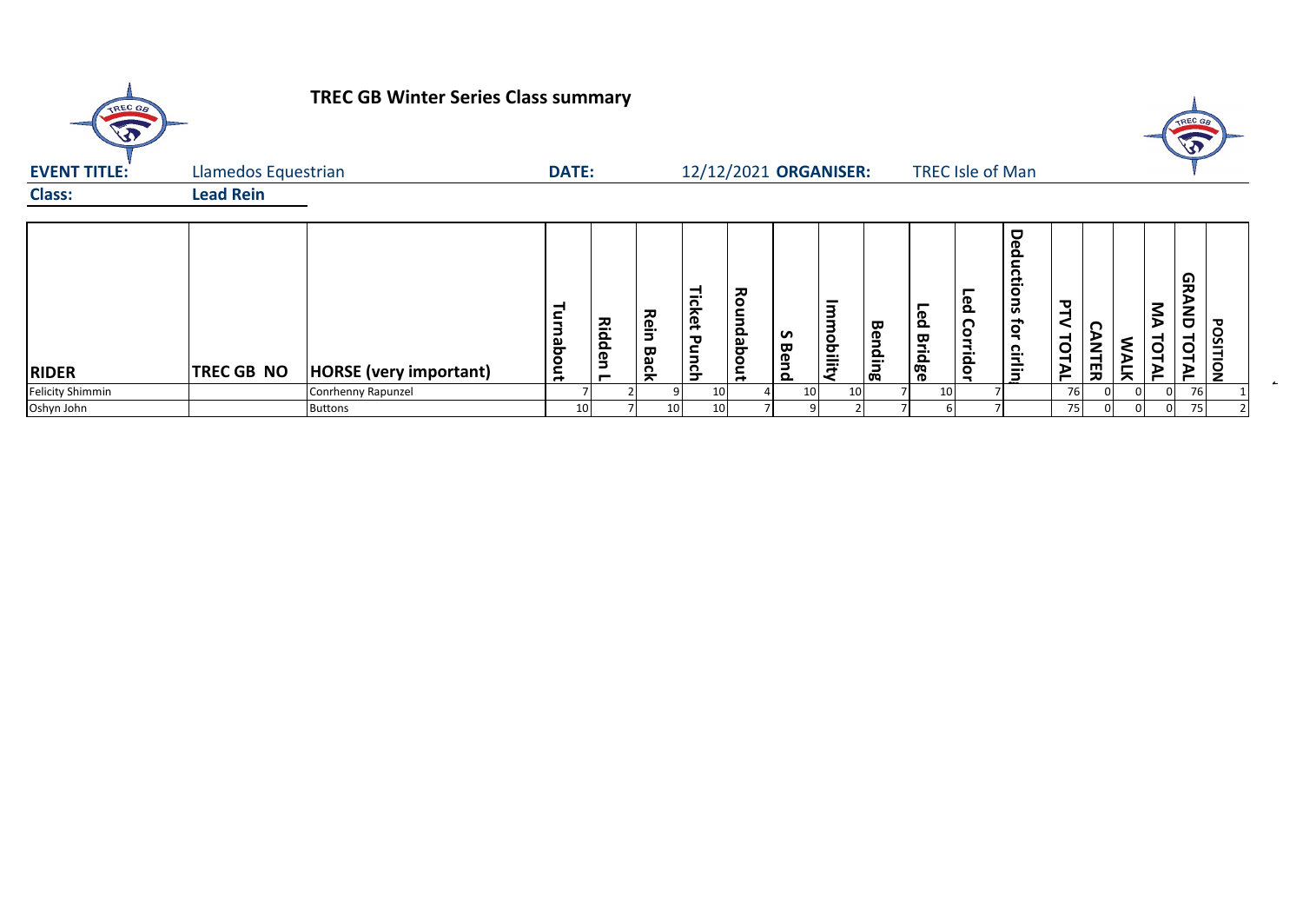| TREC GB                 |                     | <b>TREC GB Winter Series Class summary</b> |                  |                    |              |                        |            |           |                                  |                |                             |                         |                           |            |                      |             |                | TREC GA                    |                 |
|-------------------------|---------------------|--------------------------------------------|------------------|--------------------|--------------|------------------------|------------|-----------|----------------------------------|----------------|-----------------------------|-------------------------|---------------------------|------------|----------------------|-------------|----------------|----------------------------|-----------------|
| <b>EVENT TITLE:</b>     | Llamedos Equestrian |                                            | <b>DATE:</b>     |                    |              |                        |            |           | 12/12/2021 ORGANISER:            |                |                             | <b>TREC Isle of Man</b> |                           |            |                      |             |                |                            |                 |
| <b>Class:</b>           | <b>Lead Rein</b>    |                                            |                  |                    |              |                        |            |           |                                  |                |                             |                         |                           |            |                      |             |                |                            |                 |
| <b>RIDER</b>            | <b>TREC GB NO</b>   | <b>HORSE</b> (very important)              | <b>Furnabout</b> | <b>Ridden</b><br>− | Rein<br>Back | Ticket<br><b>Punch</b> | Roundabout | S<br>Bend | $\overline{3}$<br><b>obility</b> | <b>Bending</b> | <b>Fed</b><br><b>Bridge</b> | Led<br>Corridor         | Deductions<br>Ę<br>cirlin | ュ<br>TOTAL | n<br><b>ANT</b><br>띶 | <b>WALK</b> | ŠД<br>TOT<br>≥ | မ္ဘ<br><b>AND</b><br>TOTAL | <b>POSITION</b> |
| <b>Felicity Shimmin</b> |                     | Conrhenny Rapunzel                         |                  |                    |              | 10                     |            | 10        | 10 <sup>1</sup>                  |                | 10 <sup>1</sup>             |                         |                           | 76         |                      |             |                | 76                         |                 |
| Oshyn John              |                     | <b>Buttons</b>                             | 10               |                    | 10           | 10                     |            |           |                                  |                |                             |                         |                           | 75         |                      |             |                | 75                         |                 |